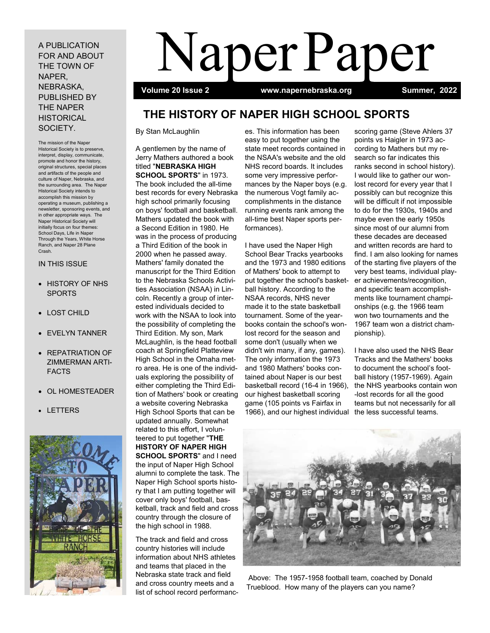A PUBLICATION FOR AND ABOUT THE TOWN OF NAPER, NEBRASKA, PUBLISHED BY THE NAPER **HISTORICAL** SOCIETY.

The mission of the Naper Historical Society is to preserve, interpret, display, communicate, promote and honor the history, original structures, special places and artifacts of the people and culture of Naper, Nebraska, and the surrounding area. The Naper Historical Society intends to accomplish this mission by operating a museum, publishing a newsletter, sponsoring events, and in other appropriate ways. The Naper Historical Society will initially focus on four themes: School Days, Life in Naper Through the Years, White Horse Ranch, and Naper 28 Plane Crash.

# IN THIS ISSUE

- HISTORY OF NHS SPORTS
- LOST CHILD
- EVELYN TANNER
- REPATRIATION OF ZIMMERMAN ARTI-FACTS
- OL HOMESTEADER
- LETTERS



# Naper Paper

 **Volume 20 Issue 2 www.napernebraska.org Summer, 2022**

# **THE HISTORY OF NAPER HIGH SCHOOL SPORTS**

By Stan McLaughlin

A gentlemen by the name of Jerry Mathers authored a book titled "**NEBRASKA HIGH SCHOOL SPORTS**" in 1973. The book included the all-time best records for every Nebraska high school primarily focusing on boys' football and basketball. Mathers updated the book with a Second Edition in 1980. He was in the process of producing a Third Edition of the book in 2000 when he passed away. Mathers' family donated the manuscript for the Third Edition to the Nebraska Schools Activities Association (NSAA) in Lincoln. Recently a group of interested individuals decided to work with the NSAA to look into the possibility of completing the Third Edition. My son, Mark McLaughlin, is the head football coach at Springfield Platteview High School in the Omaha metro area. He is one of the individuals exploring the possibility of either completing the Third Edition of Mathers' book or creating a website covering Nebraska High School Sports that can be updated annually. Somewhat related to this effort, I volunteered to put together "**THE HISTORY OF NAPER HIGH SCHOOL SPORTS**" and I need the input of Naper High School alumni to complete the task. The Naper High School sports history that I am putting together will cover only boys' football, basketball, track and field and cross country through the closure of the high school in 1988.

The track and field and cross country histories will include information about NHS athletes and teams that placed in the Nebraska state track and field and cross country meets and a list of school record performanc-

es. This information has been easy to put together using the state meet records contained in the NSAA's website and the old NHS record boards. It includes some very impressive performances by the Naper boys (e.g. the numerous Vogt family accomplishments in the distance running events rank among the all-time best Naper sports performances).

I have used the Naper High School Bear Tracks yearbooks and the 1973 and 1980 editions of Mathers' book to attempt to put together the school's basketball history. According to the NSAA records, NHS never made it to the state basketball tournament. Some of the yearbooks contain the school's wonlost record for the season and some don't (usually when we didn't win many, if any, games). The only information the 1973 and 1980 Mathers' books contained about Naper is our best basketball record (16-4 in 1966), our highest basketball scoring game (105 points vs Fairfax in 1966), and our highest individual the less successful teams.

scoring game (Steve Ahlers 37 points vs Haigler in 1973 according to Mathers but my research so far indicates this ranks second in school history). I would like to gather our wonlost record for every year that I possibly can but recognize this will be difficult if not impossible to do for the 1930s, 1940s and maybe even the early 1950s since most of our alumni from these decades are deceased and written records are hard to find. I am also looking for names of the starting five players of the very best teams, individual player achievements/recognition, and specific team accomplishments like tournament championships (e.g. the 1966 team won two tournaments and the 1967 team won a district championship).

I have also used the NHS Bear Tracks and the Mathers' books to document the school's football history (1957-1969). Again the NHS yearbooks contain won -lost records for all the good teams but not necessarily for all



Above: The 1957-1958 football team, coached by Donald Trueblood. How many of the players can you name?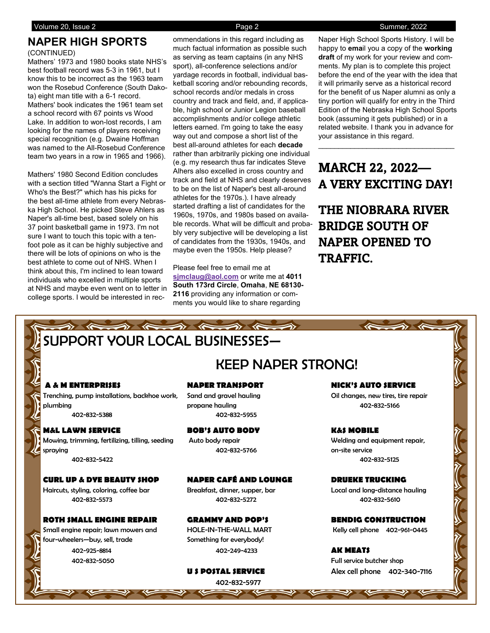# **NAPER HIGH SPORTS**

# (CONTINUED)

Mathers' 1973 and 1980 books state NHS's best football record was 5-3 in 1961, but I know this to be incorrect as the 1963 team won the Rosebud Conference (South Dakota) eight man title with a 6-1 record. Mathers' book indicates the 1961 team set a school record with 67 points vs Wood Lake. In addition to won-lost records, I am looking for the names of players receiving special recognition (e.g. Dwaine Hoffman was named to the All-Rosebud Conference team two years in a row in 1965 and 1966).

Mathers' 1980 Second Edition concludes with a section titled "Wanna Start a Fight or Who's the Best?" which has his picks for the best all-time athlete from every Nebraska High School. He picked Steve Ahlers as Naper's all-time best, based solely on his 37 point basketball game in 1973. I'm not sure I want to touch this topic with a tenfoot pole as it can be highly subjective and there will be lots of opinions on who is the best athlete to come out of NHS. When I think about this, I'm inclined to lean toward individuals who excelled in multiple sports at NHS and maybe even went on to letter in college sports. I would be interested in recommendations in this regard including as much factual information as possible such as serving as team captains (in any NHS sport), all-conference selections and/or yardage records in football, individual basketball scoring and/or rebounding records, school records and/or medals in cross country and track and field, and, if applicable, high school or Junior Legion baseball accomplishments and/or college athletic letters earned. I'm going to take the easy way out and compose a short list of the best all-around athletes for each **decade**  rather than arbitrarily picking one individual (e.g. my research thus far indicates Steve Alhers also excelled in cross country and track and field at NHS and clearly deserves to be on the list of Naper's best all-around athletes for the 1970s.). I have already started drafting a list of candidates for the 1960s, 1970s, and 1980s based on available records. What will be difficult and probably very subjective will be developing a list of candidates from the 1930s, 1940s, and maybe even the 1950s. Help please?

Please feel free to email me at **[sjmclaug@aol.com](mailto:sjmclaug@aol.com)** or write me at **4011 South 173rd Circle**, **Omaha**, **NE 68130- 2116** providing any information or comments you would like to share regarding

Naper High School Sports History. I will be happy to **ema**il you a copy of the **working draft** of my work for your review and comments. My plan is to complete this project before the end of the year with the idea that it will primarily serve as a historical record for the benefit of us Naper alumni as only a tiny portion will qualify for entry in the Third Edition of the Nebraska High School Sports book (assuming it gets published) or in a related website. I thank you in advance for your assistance in this regard.

# MARCH 22, 2022— A VERY EXCITING DAY!

 $\mathcal{L}_\text{max}$  , and the set of the set of the set of the set of the set of the set of the set of the set of the set of the set of the set of the set of the set of the set of the set of the set of the set of the set of the

THE NIOBRARA RIVER BRIDGE SOUTH OF NAPER OPENED TO TRAFFIC.

# SUPPORT YOUR LOCAL BUSINESSES—

 $\Rightarrow$   $\leftarrow$ 

# KEEP NAPER STRONG!

Trenching, pump installations, backhoe work, Sand and gravel hauling Trenching Oil changes, new tires, tire repair plumbing propane hauling 402-832-5166

# **M&L LAWN SERVICE BOB'S AUTO BODY K&S MOBILE**

Mowing, trimming, fertilizing, tilling, seeding Auto body repair Auto Welding and equipment repair, spraying 402-832-5766 on-site service 402-832-5422 402-832-5125

# **CURL UP & DYE BEAUTY SHOP NAPER CAFÉ AND LOUNGE DRUEKE TRUCKING**

Haircuts, styling, coloring, coffee bar Breakfast, dinner, supper, bar Local and long-distance hauling

# **ROTH SMALL ENGINE REPAIR GRAMMY AND POP'S BENDIG CONSTRUCTION**

Small engine repair: lawn mowers and HOLE-IN-THE-WALL MART Kelly cell phone 402-961-0445 four-wheelers-buy, sell, trade Something for everybody!

402-832-5388 402-832-5955

402-832-5573 402-832-5272 402-832-5610

402-925-8814 402-249-4233 **AK MEATS**

402-832-5977

# **A & M ENTERPRISES NAPER TRANSPORT NICK'S AUTO SERVICE**

402-832-5050 Full service butcher shop **U S POSTAL SERVICE** Alex cell phone 402-340-7116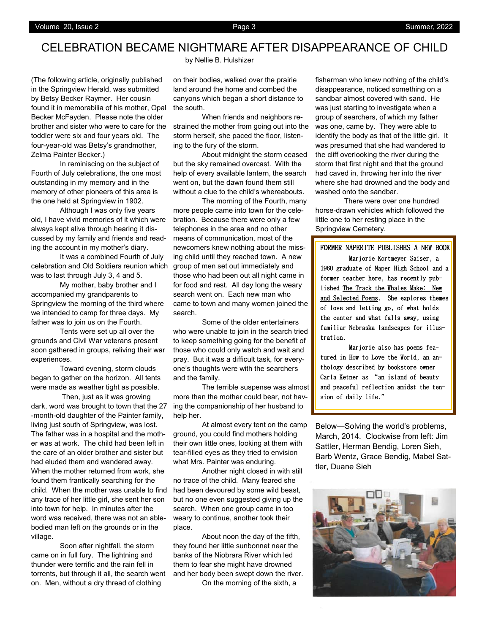# CELEBRATION BECAME NIGHTMARE AFTER DISAPPEARANCE OF CHILD

by Nellie B. Hulshizer

(The following article, originally published in the Springview Herald, was submitted by Betsy Becker Raymer. Her cousin found it in memorabilia of his mother, Opal Becker McFayden. Please note the older brother and sister who were to care for the toddler were six and four years old. The four-year-old was Betsy's grandmother, Zelma Painter Becker.)

In reminiscing on the subject of Fourth of July celebrations, the one most outstanding in my memory and in the memory of other pioneers of this area is the one held at Springview in 1902.

Although I was only five years old, I have vivid memories of it which were always kept alive through hearing it discussed by my family and friends and reading the account in my mother's diary.

It was a combined Fourth of July celebration and Old Soldiers reunion which was to last through July 3, 4 and 5.

My mother, baby brother and I accompanied my grandparents to Springview the morning of the third where we intended to camp for three days. My father was to join us on the Fourth.

Tents were set up all over the grounds and Civil War veterans present soon gathered in groups, reliving their war experiences.

Toward evening, storm clouds began to gather on the horizon. All tents were made as weather tight as possible.

Then, just as it was growing dark, word was brought to town that the 27 -month-old daughter of the Painter family, living just south of Springview, was lost. The father was in a hospital and the mother was at work. The child had been left in the care of an older brother and sister but had eluded them and wandered away. When the mother returned from work, she found them frantically searching for the child. When the mother was unable to find any trace of her little girl, she sent her son into town for help. In minutes after the word was received, there was not an ablebodied man left on the grounds or in the village.

Soon after nightfall, the storm came on in full fury. The lightning and thunder were terrific and the rain fell in torrents, but through it all, the search went on. Men, without a dry thread of clothing

on their bodies, walked over the prairie land around the home and combed the canyons which began a short distance to the south.

When friends and neighbors restrained the mother from going out into the storm herself, she paced the floor, listening to the fury of the storm.

About midnight the storm ceased but the sky remained overcast. With the help of every available lantern, the search went on, but the dawn found them still without a clue to the child's whereabouts.

The morning of the Fourth, many more people came into town for the celebration. Because there were only a few telephones in the area and no other means of communication, most of the newcomers knew nothing about the missing child until they reached town. A new group of men set out immediately and those who had been out all night came in for food and rest. All day long the weary search went on. Each new man who came to town and many women joined the search.

Some of the older entertainers who were unable to join in the search tried to keep something going for the benefit of those who could only watch and wait and pray. But it was a difficult task, for everyone's thoughts were with the searchers and the family.

The terrible suspense was almost more than the mother could bear, not having the companionship of her husband to help her.

At almost every tent on the camp ground, you could find mothers holding their own little ones, looking at them with tear-filled eyes as they tried to envision what Mrs. Painter was enduring.

Another night closed in with still no trace of the child. Many feared she had been devoured by some wild beast, but no one even suggested giving up the search. When one group came in too weary to continue, another took their place.

About noon the day of the fifth, they found her little sunbonnet near the banks of the Niobrara River which led them to fear she might have drowned and her body been swept down the river.

On the morning of the sixth, a

fisherman who knew nothing of the child's disappearance, noticed something on a sandbar almost covered with sand. He was just starting to investigate when a group of searchers, of which my father was one, came by. They were able to identify the body as that of the little girl. It was presumed that she had wandered to the cliff overlooking the river during the storm that first night and that the ground had caved in, throwing her into the river where she had drowned and the body and washed onto the sandbar.

There were over one hundred horse-drawn vehicles which followed the little one to her resting place in the Springview Cemetery.

# FORMER NAPERITE PUBLISHES A NEW BOOK

 Marjorie Kortmeyer Saiser, a 1960 graduate of Naper High School and a former teacher here, has recently published The Track the Whales Make: New and Selected Poems. She explores themes of love and letting go, of what holds the center and what falls away, using familiar Nebraska landscapes for illustration.

 Marjorie also has poems featured in How to Love the World, an anthology described by bookstore owner Carla Ketner as "an island of beauty and peaceful reflection amidst the tension of daily life."

Below—Solving the world's problems, March, 2014. Clockwise from left: Jim Sattler, Herman Bendig, Loren Sieh, Barb Wentz, Grace Bendig, Mabel Sattler, Duane Sieh

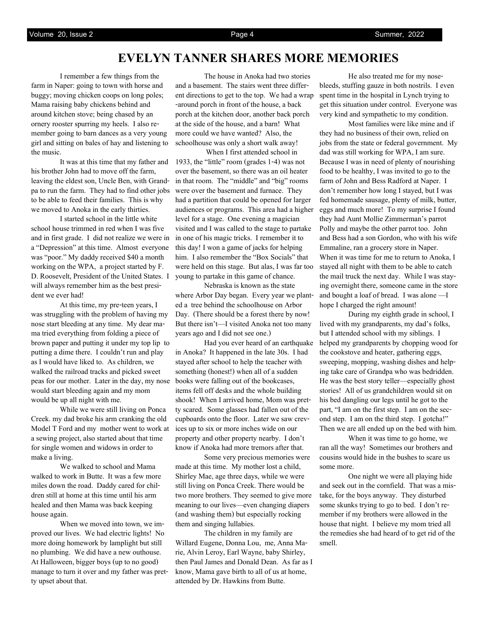I remember a few things from the farm in Naper: going to town with horse and buggy; moving chicken coops on long poles; Mama raising baby chickens behind and around kitchen stove; being chased by an ornery rooster spurring my heels. I also remember going to barn dances as a very young girl and sitting on bales of hay and listening to the music.

It was at this time that my father and his brother John had to move off the farm, leaving the eldest son, Uncle Ben, with Grandpa to run the farm. They had to find other jobs to be able to feed their families. This is why we moved to Anoka in the early thirties.

I started school in the little white school house trimmed in red when I was five and in first grade. I did not realize we were in a "Depression" at this time. Almost everyone was "poor." My daddy received \$40 a month working on the WPA, a project started by F. D. Roosevelt, President of the United States. I will always remember him as the best president we ever had!

At this time, my pre-teen years, I was struggling with the problem of having my nose start bleeding at any time. My dear mama tried everything from folding a piece of brown paper and putting it under my top lip to putting a dime there. I couldn't run and play as I would have liked to. As children, we walked the railroad tracks and picked sweet peas for our mother. Later in the day, my nose would start bleeding again and my mom would be up all night with me.

While we were still living on Ponca Creek. my dad broke his arm cranking the old Model T Ford and my mother went to work at a sewing project, also started about that time for single women and widows in order to make a living.

We walked to school and Mama walked to work in Butte. It was a few more miles down the road. Daddy cared for children still at home at this time until his arm healed and then Mama was back keeping house again.

When we moved into town, we improved our lives. We had electric lights! No more doing homework by lamplight but still no plumbing. We did have a new outhouse. At Halloween, bigger boys (up to no good) manage to turn it over and my father was pretty upset about that.

The house in Anoka had two stories and a basement. The stairs went three different directions to get to the top. We had a wrap -around porch in front of the house, a back porch at the kitchen door, another back porch at the side of the house, and a barn! What more could we have wanted? Also, the schoolhouse was only a short walk away!

When I first attended school in 1933, the "little" room (grades 1-4) was not over the basement, so there was an oil heater in that room. The "middle" and "big" rooms were over the basement and furnace. They had a partition that could be opened for larger audiences or programs. This area had a higher level for a stage. One evening a magician visited and I was called to the stage to partake in one of his magic tricks. I remember it to this day! I won a game of jacks for helping him. I also remember the "Box Socials" that were held on this stage. But alas, I was far too young to partake in this game of chance.

Nebraska is known as the state where Arbor Day began. Every year we planted a tree behind the schoolhouse on Arbor Day. (There should be a forest there by now! But there isn't—I visited Anoka not too many years ago and I did not see one.)

Had you ever heard of an earthquake in Anoka? It happened in the late 30s. I had stayed after school to help the teacher with something (honest!) when all of a sudden books were falling out of the bookcases, items fell off desks and the whole building shook! When I arrived home, Mom was pretty scared. Some glasses had fallen out of the cupboards onto the floor. Later we saw crevices up to six or more inches wide on our property and other property nearby. I don't know if Anoka had more tremors after that.

Some very precious memories were made at this time. My mother lost a child, Shirley Mae, age three days, while we were still living on Ponca Creek. There would be two more brothers. They seemed to give more meaning to our lives—even changing diapers (and washing them) but especially rocking them and singing lullabies.

The children in my family are Willard Eugene, Donna Lou, me, Anna Marie, Alvin Leroy, Earl Wayne, baby Shirley, then Paul James and Donald Dean. As far as I know, Mama gave birth to all of us at home, attended by Dr. Hawkins from Butte.

He also treated me for my nosebleeds, stuffing gauze in both nostrils. I even spent time in the hospital in Lynch trying to get this situation under control. Everyone was very kind and sympathetic to my condition.

Most families were like mine and if they had no business of their own, relied on jobs from the state or federal government. My dad was still working for WPA, I am sure. Because I was in need of plenty of nourishing food to be healthy, I was invited to go to the farm of John and Bess Radford at Naper. I don't remember how long I stayed, but I was fed homemade sausage, plenty of milk, butter, eggs and much more! To my surprise I found they had Aunt Mollie Zimmerman's parrot Polly and maybe the other parrot too. John and Bess had a son Gordon, who with his wife Emmaline, ran a grocery store in Naper. When it was time for me to return to Anoka, I stayed all night with them to be able to catch the mail truck the next day. While I was staying overnight there, someone came in the store and bought a loaf of bread. I was alone —I hope I charged the right amount!

During my eighth grade in school, I lived with my grandparents, my dad's folks, but I attended school with my siblings. I helped my grandparents by chopping wood for the cookstove and heater, gathering eggs, sweeping, mopping, washing dishes and helping take care of Grandpa who was bedridden. He was the best story teller—especially ghost stories! All of us grandchildren would sit on his bed dangling our legs until he got to the part, "I am on the first step. I am on the second step. I am on the third step. I gotcha!" Then we are all ended up on the bed with him.

When it was time to go home, we ran all the way! Sometimes our brothers and cousins would hide in the bushes to scare us some more.

One night we were all playing hide and seek out in the cornfield. That was a mistake, for the boys anyway. They disturbed some skunks trying to go to bed. I don't remember if my brothers were allowed in the house that night. I believe my mom tried all the remedies she had heard of to get rid of the smell.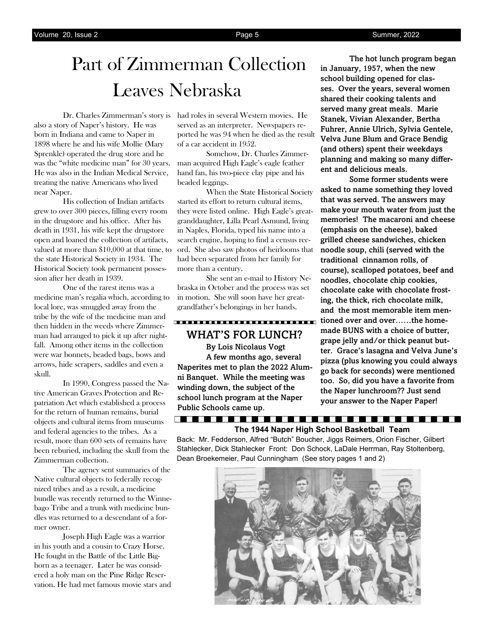# Part of Zimmerman Collection Leaves Nebraska

also a story of Naper's history. He was born in Indiana and came to Naper in 1898 where he and his wife Mollie (Mary Sprenkle) operated the drug store and he was the "white medicine man" for 30 years. He was also in the Indian Medical Service, treating the native Americans who lived near Naper.

His collection of Indian artifacts grew to over 300 pieces, filling every room in the drugstore and his office. After his death in 1931, his wife kept the drugstore open and loaned the collection of artifacts, valued at more than \$10,000 at that time, to the state Historical Society in 1934. The Historical Society took permanent possession after her death in 1939.

One of the rarest items was a medicine man's regalia which, according to local lore, was smuggled away from the tribe by the wife of the medicine man and then hidden in the weeds where Zimmerman had arranged to pick it up after nightfall. Among other items in the collection were war bonnets, beaded bags, bows and arrows, hide scrapers, saddles and even a skull.

In 1990, Congress passed the Native American Graves Protection and Repatriation Act which established a process for the return of human remains, burial objects and cultural items from museums and federal agencies to the tribes. As a result, more than 600 sets of remains have been reburied, including the skull from the Zimmerman collection.

The agency sent summaries of the Native cultural objects to federally recognized tribes and as a result, a medicine bundle was recently returned to the Winnebago Tribe and a trunk with medicine bundles was returned to a descendant of a former owner.

Joseph High Eagle was a warrior in his youth and a cousin to Crazy Horse. He fought in the Battle of the Little Bighorn as a teenager. Later he was considered a holy man on the Pine Ridge Reservation. He had met famous movie stars and

Dr. Charles Zimmerman's story is had roles in several Western movies. He served as an interpreter. Newspapers reported he was 94 when he died as the result of a car accident in 1952.

> Somehow, Dr. Charles Zimmerman acquired High Eagle's eagle feather hand fan, his two-piece clay pipe and his beaded leggings.

When the State Historical Society started its effort to return cultural items, they were listed online. High Eagle's greatgranddaughter, Lilla Pearl Asmund, living in Naples, Florida, typed his name into a search engine, hoping to find a census record. She also saw photos of heirlooms that had been separated from her family for more than a century.

She sent an e-mail to History Nebraska in October and the process was set in motion. She will soon have her greatgrandfather's belongings in her hands.

# WHAT'S FOR LUNCH?

 By Lois Nicolaus Vogt A few months ago, several Naperites met to plan the 2022 Alumni Banquet. While the meeting was winding down, the subject of the school lunch program at the Naper Public Schools came up.

The hot lunch program began in January, 1957, when the new school building opened for classes. Over the years, several women shared their cooking talents and served many great meals. Marie Stanek, Vivian Alexander, Bertha Fuhrer, Annie Ulrich, Sylvia Gentele, Velva June Blum and Grace Bendig (and others) spent their weekdays planning and making so many different and delicious meals.

Some former students were asked to name something they loved that was served. The answers may make your mouth water from just the memories! The macaroni and cheese (emphasis on the cheese), baked grilled cheese sandwiches, chicken noodle soup, chili (served with the traditional cinnamon rolls, of course), scalloped potatoes, beef and noodles, chocolate chip cookies, chocolate cake with chocolate frosting, the thick, rich chocolate milk, and the most memorable item mentioned over and over......the homemade BUNS with a choice of butter, grape jelly and/or thick peanut butter. Grace's lasagna and Velva June's pizza (plus knowing you could always go back for seconds) were mentioned too. So, did you have a favorite from the Naper lunchroom?? Just send your answer to the Naper Paper!

# **The 1944 Naper High School Basketball Team**

----------------------------------

Back: Mr. Fedderson, Alfred "Butch" Boucher, Jiggs Reimers, Orion Fischer, Gilbert Stahlecker, Dick Stahlecker Front: Don Schock, LaDale Herrman, Ray Stoltenberg, Dean Broekemeier, Paul Cunningham (See story pages 1 and 2)

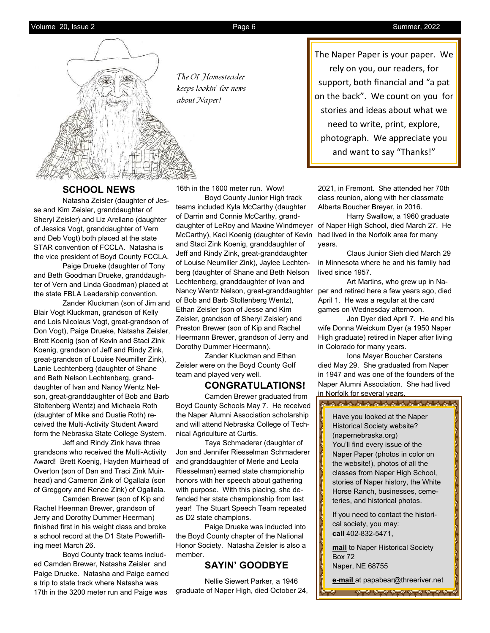![](_page_5_Picture_3.jpeg)

The Ol' Homesteader keeps lookin' for news about Naper!

# **SCHOOL NEWS**

Natasha Zeisler (daughter of Jesse and Kim Zeisler, granddaughter of Sheryl Zeisler) and Liz Arellano (daughter of Jessica Vogt, granddaughter of Vern and Deb Vogt) both placed at the state STAR convention of FCCLA. Natasha is the vice president of Boyd County FCCLA.

Paige Drueke (daughter of Tony and Beth Goodman Drueke, granddaughter of Vern and Linda Goodman) placed at the state FBLA Leadership convention.

Zander Kluckman (son of Jim and Blair Vogt Kluckman, grandson of Kelly and Lois Nicolaus Vogt, great-grandson of Don Vogt), Paige Drueke, Natasha Zeisler, Brett Koenig (son of Kevin and Staci Zink Koenig, grandson of Jeff and Rindy Zink, great-grandson of Louise Neumiller Zink), Lanie Lechtenberg (daughter of Shane and Beth Nelson Lechtenberg, granddaughter of Ivan and Nancy Wentz Nelson, great-granddaughter of Bob and Barb Stoltenberg Wentz) and Michaela Roth (daughter of Mike and Dustie Roth) received the Multi-Activity Student Award form the Nebraska State College System.

Jeff and Rindy Zink have three grandsons who received the Multi-Activity Award! Brett Koenig, Hayden Muirhead of Overton (son of Dan and Traci Zink Muirhead) and Cameron Zink of Ogallala (son of Greggory and Renee Zink) of Ogallala.

Camden Brewer (son of Kip and Rachel Heerman Brewer, grandson of Jerry and Dorothy Dummer Heerman) finished first in his weight class and broke a school record at the D1 State Powerlifting meet March 26.

Boyd County track teams included Camden Brewer, Natasha Zeisler and Paige Drueke. Natasha and Paige earned a trip to state track where Natasha was 17th in the 3200 meter run and Paige was

16th in the 1600 meter run. Wow!

Boyd County Junior High track teams included Kyla McCarthy (daughter of Darrin and Connie McCarthy, granddaughter of LeRoy and Maxine Windmeyer McCarthy), Kaci Koenig (daughter of Kevin and Staci Zink Koenig, granddaughter of Jeff and Rindy Zink, great-granddaughter of Louise Neumiller Zink), Jaylee Lechtenberg (daughter of Shane and Beth Nelson Lechtenberg, granddaughter of Ivan and Nancy Wentz Nelson, great-granddaughter of Bob and Barb Stoltenberg Wentz), Ethan Zeisler (son of Jesse and Kim Zeisler, grandson of Sheryl Zeisler) and Preston Brewer (son of Kip and Rachel Heermann Brewer, grandson of Jerry and Dorothy Dummer Heermann).

Zander Kluckman and Ethan Zeisler were on the Boyd County Golf team and played very well.

# **CONGRATULATIONS!**

Camden Brewer graduated from Boyd County Schools May 7. He received the Naper Alumni Association scholarship and will attend Nebraska College of Technical Agriculture at Curtis.

Taya Schmaderer (daughter of Jon and Jennifer Riesselman Schmaderer and granddaughter of Merle and Leola Riesselman) earned state championship honors with her speech about gathering with purpose. With this placing, she defended her state championship from last year! The Stuart Speech Team repeated as D2 state champions.

Paige Drueke was inducted into the Boyd County chapter of the National Honor Society. Natasha Zeisler is also a member.

# **SAYIN' GOODBYE**

Nellie Siewert Parker, a 1946 graduate of Naper High, died October 24, The Naper Paper is your paper. We rely on you, our readers, for support, both financial and "a pat on the back". We count on you for stories and ideas about what we need to write, print, explore, photograph. We appreciate you and want to say "Thanks!"

2021, in Fremont. She attended her 70th class reunion, along with her classmate Alberta Boucher Breyer, in 2016.

Harry Swallow, a 1960 graduate of Naper High School, died March 27. He had lived in the Norfolk area for many years.

Claus Junior Sieh died March 29 in Minnesota where he and his family had lived since 1957.

Art Martins, who grew up in Naper and retired here a few years ago, died April 1. He was a regular at the card games on Wednesday afternoon.

Jon Dyer died April 7. He and his wife Donna Weickum Dyer (a 1950 Naper High graduate) retired in Naper after living in Colorado for many years.

Iona Mayer Boucher Carstens died May 29. She graduated from Naper in 1947 and was one of the founders of the Naper Alumni Association. She had lived in Norfolk for several years.

aneaneane

Have you looked at the Naper Historical Society website? (napernebraska.org) You'll find every issue of the Naper Paper (photos in color on the website!), photos of all the classes from Naper High School, stories of Naper history, the White Horse Ranch, businesses, cemeteries, and historical photos.

If you need to contact the historical society, you may: **call** 402-832-5471,

**mail** to Naper Historical Society Box 72 Naper, NE 68755

**e-mail** at papabear@threeriver.net

**AN AN AN AN AN AN AN**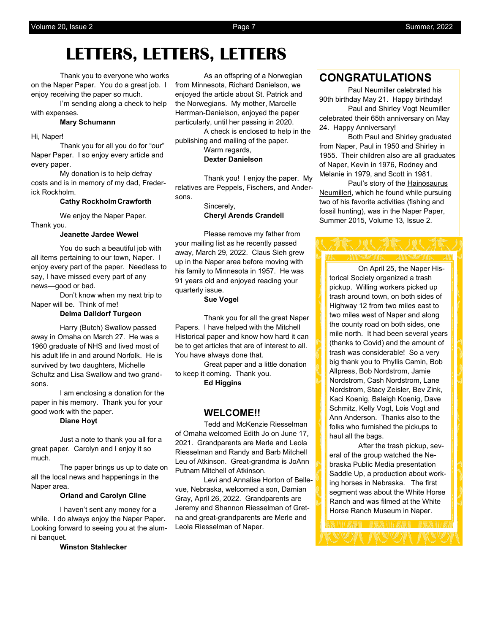# **LETTERS, LETTERS, LETTERS**

Thank you to everyone who works on the Naper Paper. You do a great job. I enjoy receiving the paper so much.

I'm sending along a check to help with expenses.

## **Mary Schumann**

Hi, Naper!

Thank you for all you do for "our" Naper Paper. I so enjoy every article and every paper.

My donation is to help defray costs and is in memory of my dad, Frederick Rockholm.

# **Cathy RockholmCrawforth**

We enjoy the Naper Paper. Thank you.

## **Jeanette Jardee Wewel**

You do such a beautiful job with all items pertaining to our town, Naper. I enjoy every part of the paper. Needless to say, I have missed every part of any news—good or bad.

Don't know when my next trip to Naper will be. Think of me!

## **Delma Dalldorf Turgeon**

Harry (Butch) Swallow passed away in Omaha on March 27. He was a 1960 graduate of NHS and lived most of his adult life in and around Norfolk. He is survived by two daughters, Michelle Schultz and Lisa Swallow and two grandsons.

I am enclosing a donation for the paper in his memory. Thank you for your good work with the paper.

## **Diane Hoyt**

Just a note to thank you all for a great paper. Carolyn and I enjoy it so much.

The paper brings us up to date on all the local news and happenings in the Naper area.

## **Orland and Carolyn Cline**

I haven't sent any money for a while. I do always enjoy the Naper Paper**.**  Looking forward to seeing you at the alumni banquet.

**Winston Stahlecker**

As an offspring of a Norwegian from Minnesota, Richard Danielson, we enjoyed the article about St. Patrick and the Norwegians. My mother, Marcelle Herrman-Danielson, enjoyed the paper particularly, until her passing in 2020.

A check is enclosed to help in the publishing and mailing of the paper. Warm regards, **Dexter Danielson**

Thank you! I enjoy the paper. My relatives are Peppels, Fischers, and Andersons.

> Sincerely, **Cheryl Arends Crandell**

Please remove my father from your mailing list as he recently passed away, March 29, 2022. Claus Sieh grew up in the Naper area before moving with his family to Minnesota in 1957. He was 91 years old and enjoyed reading your quarterly issue.

## **Sue Vogel**

Thank you for all the great Naper Papers. I have helped with the Mitchell Historical paper and know how hard it can be to get articles that are of interest to all. You have always done that.

Great paper and a little donation to keep it coming. Thank you.

# **Ed Higgins**

# **WELCOME!!**

Tedd and McKenzie Riesselman of Omaha welcomed Edith Jo on June 17, 2021. Grandparents are Merle and Leola Riesselman and Randy and Barb Mitchell Leu of Atkinson. Great-grandma is JoAnn Putnam Mitchell of Atkinson.

Levi and Annalise Horton of Bellevue, Nebraska, welcomed a son, Damian Gray, April 26, 2022. Grandparents are Jeremy and Shannon Riesselman of Gretna and great-grandparents are Merle and Leola Riesselman of Naper.

# **CONGRATULATIONS**

Paul Neumiller celebrated his 90th birthday May 21. Happy birthday! Paul and Shirley Vogt Neumiller celebrated their 65th anniversary on May 24. Happy Anniversary!

Both Paul and Shirley graduated from Naper, Paul in 1950 and Shirley in 1955. Their children also are all graduates of Naper, Kevin in 1976, Rodney and Melanie in 1979, and Scott in 1981.

Paul's story of the Hainosaurus Neumilleri, which he found while pursuing two of his favorite activities (fishing and fossil hunting), was in the Naper Paper, Summer 2015, Volume 13, Issue 2.

On April 25, the Naper Historical Society organized a trash pickup. Willing workers picked up trash around town, on both sides of Highway 12 from two miles east to two miles west of Naper and along the county road on both sides, one mile north. It had been several years (thanks to Covid) and the amount of trash was considerable! So a very big thank you to Phyllis Camin, Bob Allpress, Bob Nordstrom, Jamie Nordstrom, Cash Nordstrom, Lane Nordstrom, Stacy Zeisler, Bev Zink, Kaci Koenig, Baleigh Koenig, Dave Schmitz, Kelly Vogt, Lois Vogt and Ann Anderson. Thanks also to the folks who furnished the pickups to haul all the bags.

After the trash pickup, several of the group watched the Nebraska Public Media presentation Saddle Up, a production about working horses in Nebraska. The first segment was about the White Horse Ranch and was filmed at the White Horse Ranch Museum in Naper.